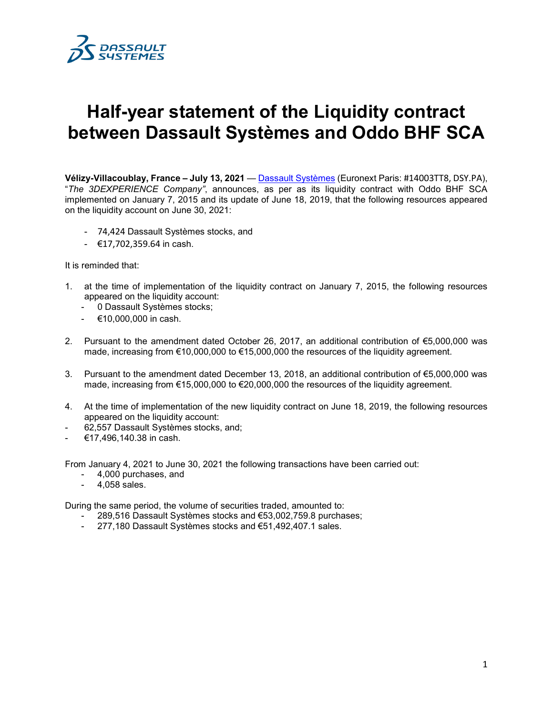

## **Half-year statement of the Liquidity contract between Dassault Systèmes and Oddo BHF SCA**

**Vélizy-Villacoublay, France – July 13, 2021** — [Dassault Systèmes](http://www.3ds.com/) (Euronext Paris: #14003TT8, DSY.PA), "*The 3DEXPERIENCE Company"*, announces, as per as its liquidity contract with Oddo BHF SCA implemented on January 7, 2015 and its update of June 18, 2019, that the following resources appeared on the liquidity account on June 30, 2021:

- 74,424 Dassault Systèmes stocks, and
- €17,702,359.64 in cash.

It is reminded that:

- 1. at the time of implementation of the liquidity contract on January 7, 2015, the following resources appeared on the liquidity account:
	- 0 Dassault Systèmes stocks;
	- €10,000,000 in cash.
- 2. Pursuant to the amendment dated October 26, 2017, an additional contribution of €5,000,000 was made, increasing from €10,000,000 to €15,000,000 the resources of the liquidity agreement.
- 3. Pursuant to the amendment dated December 13, 2018, an additional contribution of €5,000,000 was made, increasing from €15,000,000 to €20,000,000 the resources of the liquidity agreement.
- 4. At the time of implementation of the new liquidity contract on June 18, 2019, the following resources appeared on the liquidity account:
- 62,557 Dassault Systèmes stocks, and;
- €17,496,140.38 in cash.

From January 4, 2021 to June 30, 2021 the following transactions have been carried out:

- 4,000 purchases, and
- 4,058 sales.

During the same period, the volume of securities traded, amounted to:

- 289,516 Dassault Systèmes stocks and €53,002,759.8 purchases;
- 277,180 Dassault Systèmes stocks and €51,492,407.1 sales.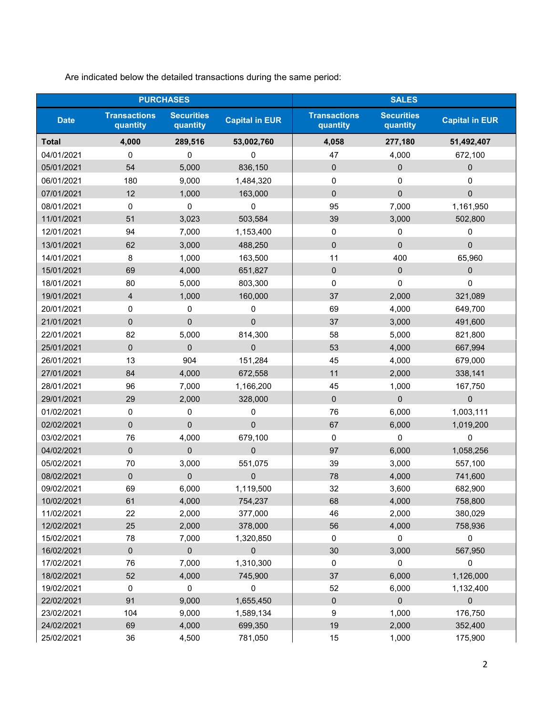| <b>PURCHASES</b> |                                 |                               |                       | <b>SALES</b>                    |                               |                       |  |
|------------------|---------------------------------|-------------------------------|-----------------------|---------------------------------|-------------------------------|-----------------------|--|
| <b>Date</b>      | <b>Transactions</b><br>quantity | <b>Securities</b><br>quantity | <b>Capital in EUR</b> | <b>Transactions</b><br>quantity | <b>Securities</b><br>quantity | <b>Capital in EUR</b> |  |
| <b>Total</b>     | 4,000                           | 289,516                       | 53,002,760            | 4,058                           | 277,180                       | 51,492,407            |  |
| 04/01/2021       | 0                               | $\mathbf 0$                   | 0                     | 47                              | 4,000                         | 672,100               |  |
| 05/01/2021       | 54                              | 5,000                         | 836,150               | $\pmb{0}$                       | $\pmb{0}$                     | $\pmb{0}$             |  |
| 06/01/2021       | 180                             | 9,000                         | 1,484,320             | 0                               | $\mathbf 0$                   | 0                     |  |
| 07/01/2021       | 12                              | 1,000                         | 163,000               | $\overline{0}$                  | $\Omega$                      | $\overline{0}$        |  |
| 08/01/2021       | 0                               | $\mathbf 0$                   | $\Omega$              | 95                              | 7,000                         | 1,161,950             |  |
| 11/01/2021       | 51                              | 3,023                         | 503,584               | 39                              | 3,000                         | 502,800               |  |
| 12/01/2021       | 94                              | 7,000                         | 1,153,400             | 0                               | 0                             | 0                     |  |
| 13/01/2021       | 62                              | 3,000                         | 488,250               | $\mathbf 0$                     | $\Omega$                      | $\mathbf 0$           |  |
| 14/01/2021       | 8                               | 1,000                         | 163,500               | 11                              | 400                           | 65,960                |  |
| 15/01/2021       | 69                              | 4,000                         | 651,827               | $\pmb{0}$                       | $\mathbf{0}$                  | 0                     |  |
| 18/01/2021       | 80                              | 5,000                         | 803,300               | $\pmb{0}$                       | 0                             | $\mathbf 0$           |  |
| 19/01/2021       | $\overline{4}$                  | 1,000                         | 160,000               | 37                              | 2,000                         | 321,089               |  |
| 20/01/2021       | 0                               | 0                             | 0                     | 69                              | 4,000                         | 649,700               |  |
| 21/01/2021       | $\mathbf 0$                     | $\mathbf 0$                   | $\mathbf{0}$          | 37                              | 3,000                         | 491,600               |  |
| 22/01/2021       | 82                              | 5,000                         | 814,300               | 58                              | 5,000                         | 821,800               |  |
| 25/01/2021       | $\mathbf 0$                     | $\mathbf 0$                   | $\mathbf 0$           | 53                              | 4,000                         | 667,994               |  |
| 26/01/2021       | 13                              | 904                           | 151,284               | 45                              | 4,000                         | 679,000               |  |
| 27/01/2021       | 84                              | 4,000                         | 672,558               | 11                              | 2,000                         | 338,141               |  |
| 28/01/2021       | 96                              | 7,000                         | 1,166,200             | 45                              | 1,000                         | 167,750               |  |
| 29/01/2021       | 29                              | 2,000                         | 328,000               | $\mathbf 0$                     | $\mathbf{0}$                  | $\overline{0}$        |  |
| 01/02/2021       | 0                               | 0                             | 0                     | 76                              | 6,000                         | 1,003,111             |  |
| 02/02/2021       | $\mathbf 0$                     | $\mathbf 0$                   | $\mathbf 0$           | 67                              | 6,000                         | 1,019,200             |  |
| 03/02/2021       | 76                              | 4,000                         | 679,100               | 0                               | $\pmb{0}$                     | 0                     |  |
| 04/02/2021       | $\mathbf 0$                     | $\mathbf 0$                   | $\overline{0}$        | 97                              | 6,000                         | 1,058,256             |  |
| 05/02/2021       | 70                              | 3,000                         | 551,075               | 39                              | 3,000                         | 557,100               |  |
| 08/02/2021       | $\mathbf 0$                     | $\Omega$                      | $\Omega$              | 78                              | 4,000                         | 741,600               |  |
| 09/02/2021       | 69                              | 6,000                         | 1,119,500             | 32                              | 3,600                         | 682,900               |  |
| 10/02/2021       | 61                              | 4,000                         | 754,237               | 68                              | 4,000                         | 758,800               |  |
| 11/02/2021       | 22                              | 2,000                         | 377,000               | 46                              | 2,000                         | 380,029               |  |
| 12/02/2021       | 25                              | 2,000                         | 378,000               | 56                              | 4,000                         | 758,936               |  |
| 15/02/2021       | 78                              | 7,000                         | 1,320,850             | $\pmb{0}$                       | 0                             | 0                     |  |
| 16/02/2021       | $\pmb{0}$                       | $\pmb{0}$                     | $\pmb{0}$             | 30                              | 3,000                         | 567,950               |  |
| 17/02/2021       | 76                              | 7,000                         | 1,310,300             | $\pmb{0}$                       | 0                             | 0                     |  |
| 18/02/2021       | 52                              | 4,000                         | 745,900               | 37                              | 6,000                         | 1,126,000             |  |
| 19/02/2021       | $\pmb{0}$                       | $\pmb{0}$                     | 0                     | 52                              | 6,000                         | 1,132,400             |  |
| 22/02/2021       | 91                              | 9,000                         | 1,655,450             | $\boldsymbol{0}$                | $\mathbf{0}$                  | 0                     |  |
| 23/02/2021       | 104                             | 9,000                         | 1,589,134             | 9                               | 1,000                         | 176,750               |  |
| 24/02/2021       | 69                              | 4,000                         | 699,350               | 19                              | 2,000                         | 352,400               |  |
| 25/02/2021       | 36                              | 4,500                         | 781,050               | 15                              | 1,000                         | 175,900               |  |

Are indicated below the detailed transactions during the same period: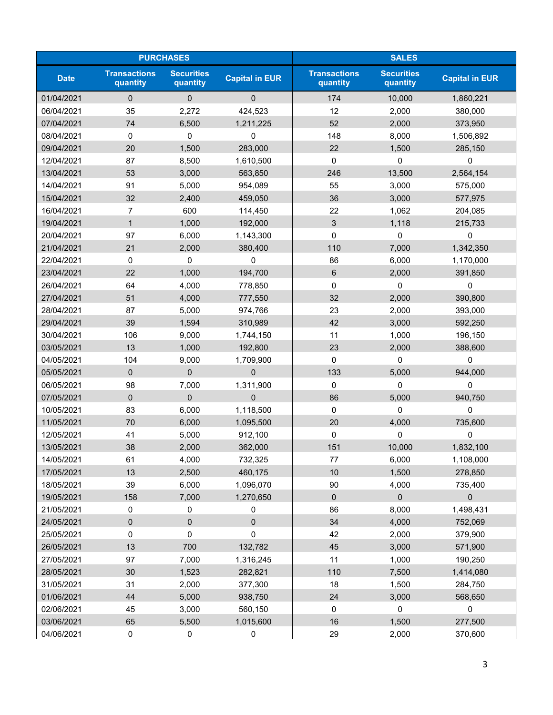| <b>PURCHASES</b> |                                 |                               |                       | <b>SALES</b>                    |                               |                       |  |
|------------------|---------------------------------|-------------------------------|-----------------------|---------------------------------|-------------------------------|-----------------------|--|
| <b>Date</b>      | <b>Transactions</b><br>quantity | <b>Securities</b><br>quantity | <b>Capital in EUR</b> | <b>Transactions</b><br>quantity | <b>Securities</b><br>quantity | <b>Capital in EUR</b> |  |
| 01/04/2021       | $\Omega$                        | $\Omega$                      | $\Omega$              | 174                             | 10,000                        | 1,860,221             |  |
| 06/04/2021       | 35                              | 2,272                         | 424,523               | 12                              | 2,000                         | 380,000               |  |
| 07/04/2021       | 74                              | 6,500                         | 1,211,225             | 52                              | 2,000                         | 373,950               |  |
| 08/04/2021       | 0                               | 0                             | 0                     | 148                             | 8,000                         | 1,506,892             |  |
| 09/04/2021       | 20                              | 1,500                         | 283,000               | 22                              | 1,500                         | 285,150               |  |
| 12/04/2021       | 87                              | 8,500                         | 1,610,500             | $\mathbf 0$                     | 0                             | 0                     |  |
| 13/04/2021       | 53                              | 3,000                         | 563,850               | 246                             | 13,500                        | 2,564,154             |  |
| 14/04/2021       | 91                              | 5,000                         | 954,089               | 55                              | 3,000                         | 575,000               |  |
| 15/04/2021       | 32                              | 2,400                         | 459,050               | 36                              | 3,000                         | 577,975               |  |
| 16/04/2021       | $\overline{7}$                  | 600                           | 114,450               | 22                              | 1,062                         | 204,085               |  |
| 19/04/2021       | $\mathbf{1}$                    | 1,000                         | 192,000               | 3                               | 1,118                         | 215,733               |  |
| 20/04/2021       | 97                              | 6,000                         | 1,143,300             | $\mathbf 0$                     | 0                             | 0                     |  |
| 21/04/2021       | 21                              | 2,000                         | 380,400               | 110                             | 7,000                         | 1,342,350             |  |
| 22/04/2021       | 0                               | 0                             | 0                     | 86                              | 6,000                         | 1,170,000             |  |
| 23/04/2021       | 22                              | 1,000                         | 194,700               | 6                               | 2,000                         | 391,850               |  |
| 26/04/2021       | 64                              | 4,000                         | 778,850               | $\mathbf 0$                     | 0                             | 0                     |  |
| 27/04/2021       | 51                              | 4,000                         | 777,550               | 32                              | 2,000                         | 390,800               |  |
| 28/04/2021       | 87                              | 5,000                         | 974,766               | 23                              | 2,000                         | 393,000               |  |
| 29/04/2021       | 39                              | 1,594                         | 310,989               | 42                              | 3,000                         | 592,250               |  |
| 30/04/2021       | 106                             | 9,000                         | 1,744,150             | 11                              | 1,000                         | 196,150               |  |
| 03/05/2021       | 13                              | 1,000                         | 192,800               | 23                              | 2,000                         | 388,600               |  |
| 04/05/2021       | 104                             | 9,000                         | 1,709,900             | 0                               | $\mathbf 0$                   | $\Omega$              |  |
| 05/05/2021       | $\mathbf 0$                     | $\mathbf 0$                   | $\mathbf{0}$          | 133                             | 5,000                         | 944,000               |  |
| 06/05/2021       | 98                              | 7,000                         | 1,311,900             | $\mathbf 0$                     | 0                             | 0                     |  |
| 07/05/2021       | $\mathbf 0$                     | $\mathbf{0}$                  | $\overline{0}$        | 86                              | 5,000                         | 940,750               |  |
| 10/05/2021       | 83                              | 6,000                         | 1,118,500             | $\mathbf 0$                     | 0                             | 0                     |  |
| 11/05/2021       | 70                              | 6,000                         | 1,095,500             | 20                              | 4,000                         | 735,600               |  |
| 12/05/2021       | 41                              | 5,000                         | 912,100               | 0                               | 0                             | 0                     |  |
| 13/05/2021       | 38                              | 2,000                         | 362,000               | 151                             | 10,000                        | 1,832,100             |  |
| 14/05/2021       | 61                              | 4,000                         | 732,325               | $77 \,$                         | 6,000                         | 1,108,000             |  |
| 17/05/2021       | 13                              | 2,500                         | 460,175               | 10                              | 1,500                         | 278,850               |  |
| 18/05/2021       | 39                              | 6,000                         | 1,096,070             | 90                              | 4,000                         | 735,400               |  |
| 19/05/2021       | 158                             | 7,000                         | 1,270,650             | $\pmb{0}$                       | $\pmb{0}$                     | 0                     |  |
| 21/05/2021       | 0                               | 0                             | 0                     | 86                              | 8,000                         | 1,498,431             |  |
| 24/05/2021       | $\pmb{0}$                       | $\pmb{0}$                     | 0                     | 34                              | 4,000                         | 752,069               |  |
| 25/05/2021       | 0                               | 0                             | 0                     | 42                              | 2,000                         | 379,900               |  |
| 26/05/2021       | 13                              | 700                           | 132,782               | 45                              | 3,000                         | 571,900               |  |
| 27/05/2021       | 97                              | 7,000                         | 1,316,245             | 11                              | 1,000                         | 190,250               |  |
| 28/05/2021       | 30                              | 1,523                         | 282,821               | 110                             | 7,500                         | 1,414,080             |  |
| 31/05/2021       | 31                              | 2,000                         | 377,300               | 18                              | 1,500                         | 284,750               |  |
| 01/06/2021       | 44                              | 5,000                         | 938,750               | 24                              | 3,000                         | 568,650               |  |
| 02/06/2021       | 45                              | 3,000                         | 560,150               | 0                               | $\pmb{0}$                     | 0                     |  |
| 03/06/2021       | 65                              | 5,500                         | 1,015,600             | 16                              | 1,500                         | 277,500               |  |
| 04/06/2021       | $\pmb{0}$                       | $\pmb{0}$                     | 0                     | 29                              | 2,000                         | 370,600               |  |